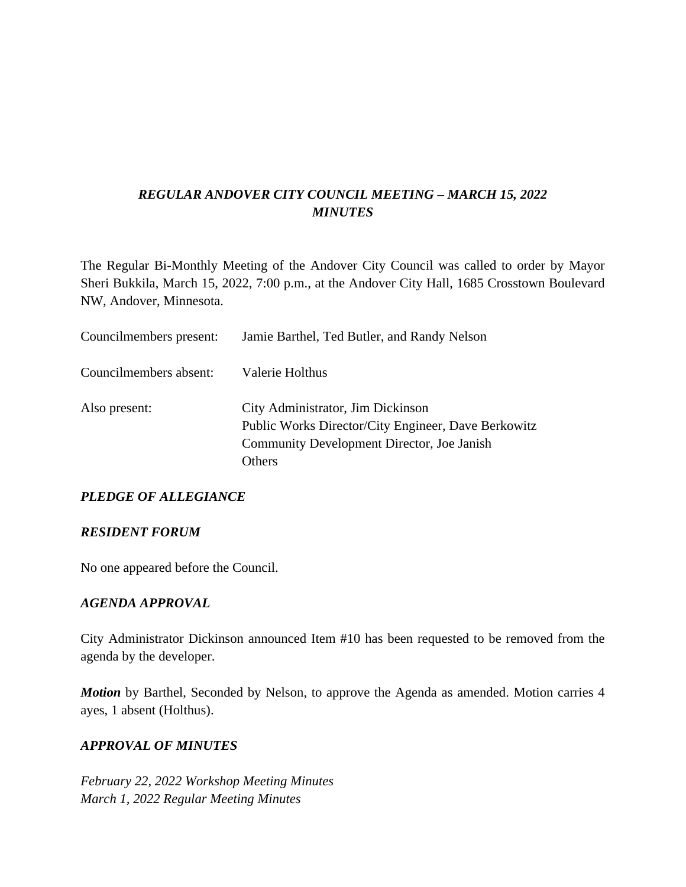# *REGULAR ANDOVER CITY COUNCIL MEETING – MARCH 15, 2022 MINUTES*

The Regular Bi-Monthly Meeting of the Andover City Council was called to order by Mayor Sheri Bukkila, March 15, 2022, 7:00 p.m., at the Andover City Hall, 1685 Crosstown Boulevard NW, Andover, Minnesota.

| Councilmembers present: | Jamie Barthel, Ted Butler, and Randy Nelson                                                                                                      |
|-------------------------|--------------------------------------------------------------------------------------------------------------------------------------------------|
| Councilmembers absent:  | Valerie Holthus                                                                                                                                  |
| Also present:           | City Administrator, Jim Dickinson<br>Public Works Director/City Engineer, Dave Berkowitz<br>Community Development Director, Joe Janish<br>Others |

## *PLEDGE OF ALLEGIANCE*

### *RESIDENT FORUM*

No one appeared before the Council.

### *AGENDA APPROVAL*

City Administrator Dickinson announced Item #10 has been requested to be removed from the agenda by the developer.

*Motion* by Barthel, Seconded by Nelson, to approve the Agenda as amended. Motion carries 4 ayes, 1 absent (Holthus).

### *APPROVAL OF MINUTES*

*February 22, 2022 Workshop Meeting Minutes March 1, 2022 Regular Meeting Minutes*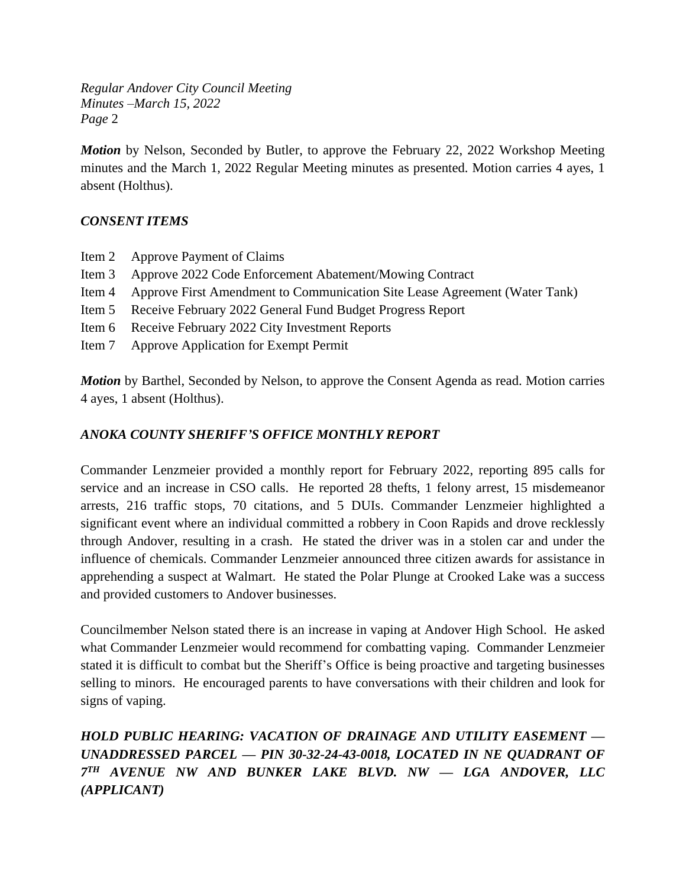*Motion* by Nelson, Seconded by Butler, to approve the February 22, 2022 Workshop Meeting minutes and the March 1, 2022 Regular Meeting minutes as presented. Motion carries 4 ayes, 1 absent (Holthus).

## *CONSENT ITEMS*

- Item 2 Approve Payment of Claims
- Item 3 Approve 2022 Code Enforcement Abatement/Mowing Contract
- Item 4 Approve First Amendment to Communication Site Lease Agreement (Water Tank)
- Item 5 Receive February 2022 General Fund Budget Progress Report
- Item 6 Receive February 2022 City Investment Reports
- Item 7 Approve Application for Exempt Permit

*Motion* by Barthel, Seconded by Nelson, to approve the Consent Agenda as read. Motion carries 4 ayes, 1 absent (Holthus).

# *ANOKA COUNTY SHERIFF'S OFFICE MONTHLY REPORT*

Commander Lenzmeier provided a monthly report for February 2022, reporting 895 calls for service and an increase in CSO calls. He reported 28 thefts, 1 felony arrest, 15 misdemeanor arrests, 216 traffic stops, 70 citations, and 5 DUIs. Commander Lenzmeier highlighted a significant event where an individual committed a robbery in Coon Rapids and drove recklessly through Andover, resulting in a crash. He stated the driver was in a stolen car and under the influence of chemicals. Commander Lenzmeier announced three citizen awards for assistance in apprehending a suspect at Walmart. He stated the Polar Plunge at Crooked Lake was a success and provided customers to Andover businesses.

Councilmember Nelson stated there is an increase in vaping at Andover High School. He asked what Commander Lenzmeier would recommend for combatting vaping. Commander Lenzmeier stated it is difficult to combat but the Sheriff's Office is being proactive and targeting businesses selling to minors. He encouraged parents to have conversations with their children and look for signs of vaping.

*HOLD PUBLIC HEARING: VACATION OF DRAINAGE AND UTILITY EASEMENT — UNADDRESSED PARCEL — PIN 30-32-24-43-0018, LOCATED IN NE QUADRANT OF 7 TH AVENUE NW AND BUNKER LAKE BLVD. NW — LGA ANDOVER, LLC (APPLICANT)*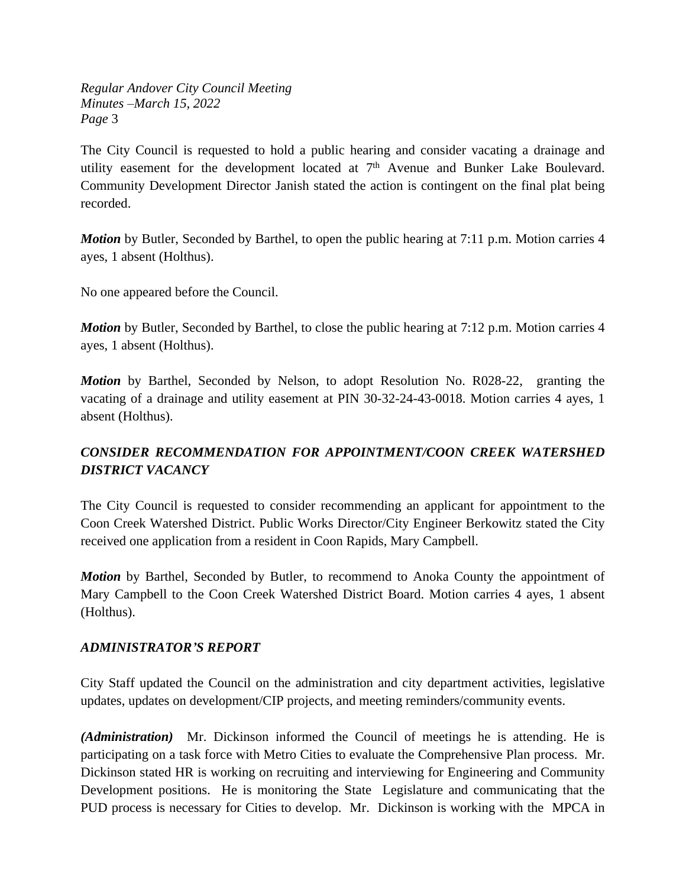The City Council is requested to hold a public hearing and consider vacating a drainage and utility easement for the development located at 7<sup>th</sup> Avenue and Bunker Lake Boulevard. Community Development Director Janish stated the action is contingent on the final plat being recorded.

*Motion* by Butler, Seconded by Barthel, to open the public hearing at 7:11 p.m. Motion carries 4 ayes, 1 absent (Holthus).

No one appeared before the Council.

*Motion* by Butler, Seconded by Barthel, to close the public hearing at 7:12 p.m. Motion carries 4 ayes, 1 absent (Holthus).

*Motion* by Barthel, Seconded by Nelson, to adopt Resolution No. R028-22, granting the vacating of a drainage and utility easement at PIN 30-32-24-43-0018. Motion carries 4 ayes, 1 absent (Holthus).

# *CONSIDER RECOMMENDATION FOR APPOINTMENT/COON CREEK WATERSHED DISTRICT VACANCY*

The City Council is requested to consider recommending an applicant for appointment to the Coon Creek Watershed District. Public Works Director/City Engineer Berkowitz stated the City received one application from a resident in Coon Rapids, Mary Campbell.

*Motion* by Barthel, Seconded by Butler, to recommend to Anoka County the appointment of Mary Campbell to the Coon Creek Watershed District Board. Motion carries 4 ayes, 1 absent (Holthus).

## *ADMINISTRATOR'S REPORT*

City Staff updated the Council on the administration and city department activities, legislative updates, updates on development/CIP projects, and meeting reminders/community events.

*(Administration)* Mr. Dickinson informed the Council of meetings he is attending. He is participating on a task force with Metro Cities to evaluate the Comprehensive Plan process. Mr. Dickinson stated HR is working on recruiting and interviewing for Engineering and Community Development positions. He is monitoring the State Legislature and communicating that the PUD process is necessary for Cities to develop. Mr. Dickinson is working with the MPCA in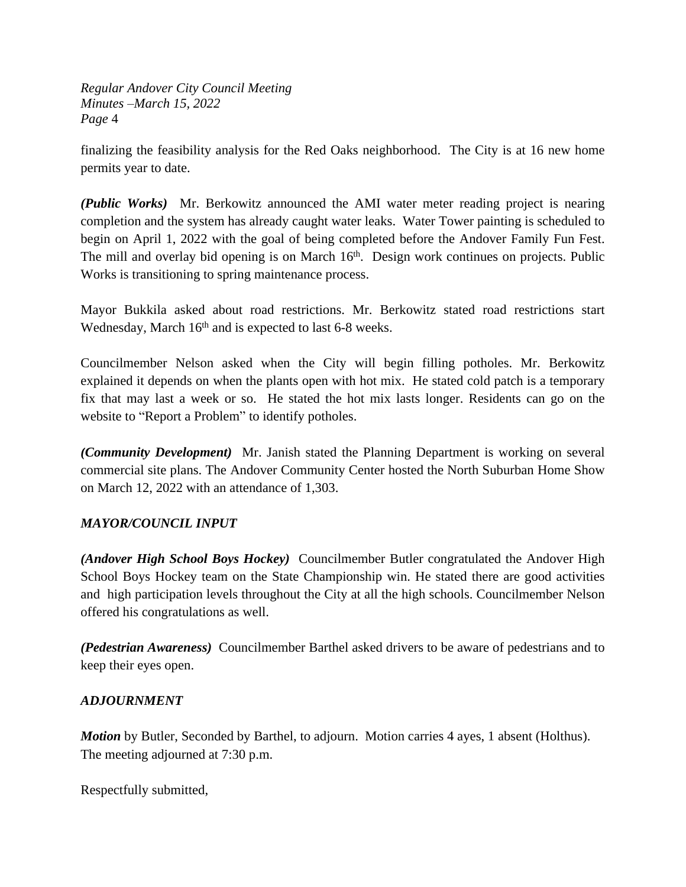finalizing the feasibility analysis for the Red Oaks neighborhood. The City is at 16 new home permits year to date.

*(Public Works)* Mr. Berkowitz announced the AMI water meter reading project is nearing completion and the system has already caught water leaks. Water Tower painting is scheduled to begin on April 1, 2022 with the goal of being completed before the Andover Family Fun Fest. The mill and overlay bid opening is on March 16<sup>th</sup>. Design work continues on projects. Public Works is transitioning to spring maintenance process.

Mayor Bukkila asked about road restrictions. Mr. Berkowitz stated road restrictions start Wednesday, March 16<sup>th</sup> and is expected to last 6-8 weeks.

Councilmember Nelson asked when the City will begin filling potholes. Mr. Berkowitz explained it depends on when the plants open with hot mix. He stated cold patch is a temporary fix that may last a week or so. He stated the hot mix lasts longer. Residents can go on the website to "Report a Problem" to identify potholes.

*(Community Development)* Mr. Janish stated the Planning Department is working on several commercial site plans. The Andover Community Center hosted the North Suburban Home Show on March 12, 2022 with an attendance of 1,303.

## *MAYOR/COUNCIL INPUT*

*(Andover High School Boys Hockey)* Councilmember Butler congratulated the Andover High School Boys Hockey team on the State Championship win. He stated there are good activities and high participation levels throughout the City at all the high schools. Councilmember Nelson offered his congratulations as well.

*(Pedestrian Awareness)* Councilmember Barthel asked drivers to be aware of pedestrians and to keep their eyes open.

## *ADJOURNMENT*

*Motion* by Butler, Seconded by Barthel, to adjourn. Motion carries 4 ayes, 1 absent (Holthus). The meeting adjourned at 7:30 p.m.

Respectfully submitted,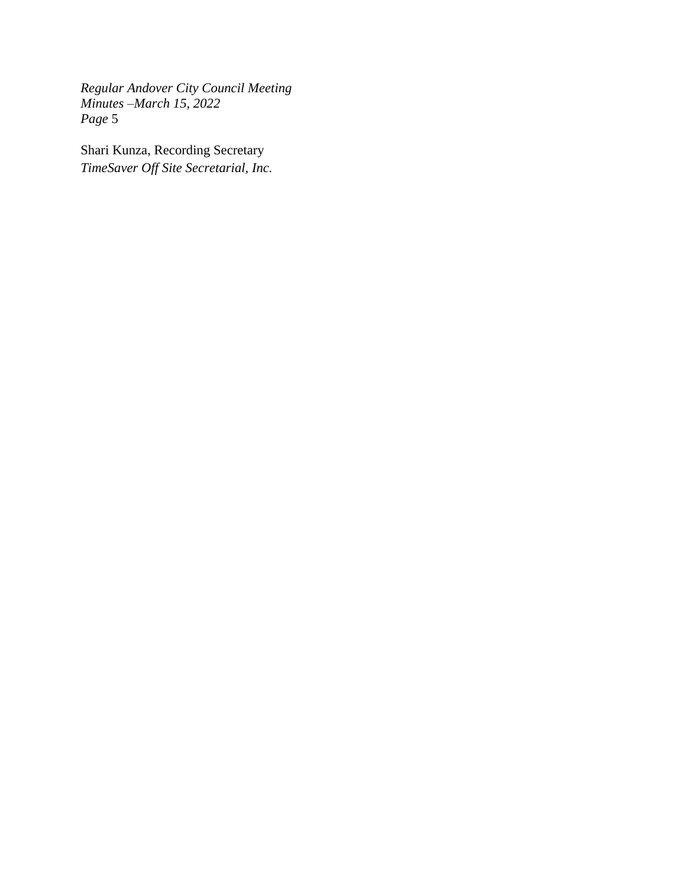Shari Kunza, Recording Secretary *TimeSaver Off Site Secretarial, Inc.*